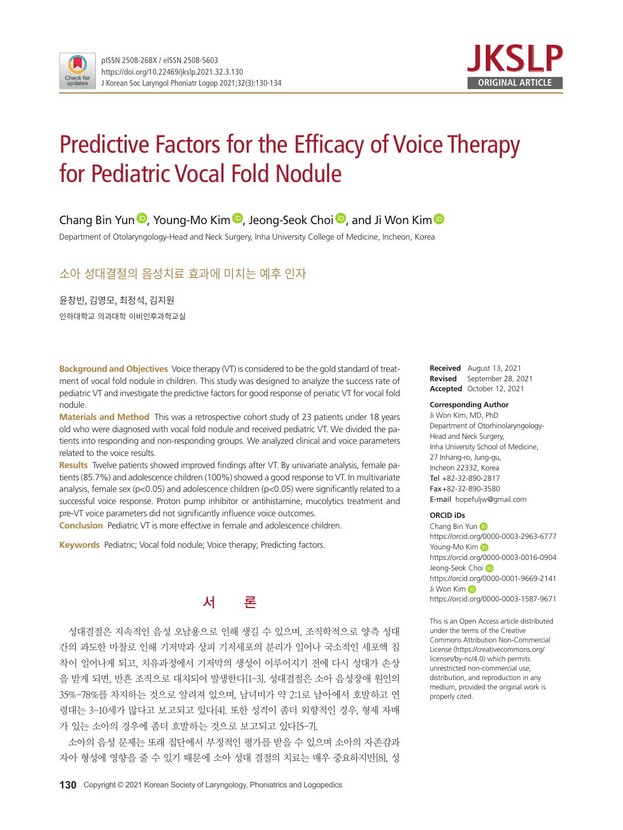



# Predictive Factors for the Efficacy of Voice Therapy for Pediatric Vocal Fold Nodule

### Chang Bin Yun **D**, Young-Mo Kim **D**, Jeong-Seok Choi **D**, and Ji Won Kim **D**

Department of Otolaryngology-Head and Neck Surgery, Inha University College of Medicine, Incheon, Korea

## 소아 성대결절의 음성치료 효과에 미치는 예후 인자

윤창빈, 김영모, 최정석, 김지원 인하대학교 의과대학 이비인후과학교실

**Background and Objectives** Voice therapy (VT) is considered to be the gold standard of treatment of vocal fold nodule in children. This study was designed to analyze the success rate of pediatric VT and investigate the predictive factors for good response of periatic VT for vocal fold nodule.

**Materials and Method** This was a retrospective cohort study of 23 patients under 18 years old who were diagnosed with vocal fold nodule and received pediatric VT. We divided the patients into responding and non-responding groups. We analyzed clinical and voice parameters related to the voice results.

**Results** Twelve patients showed improved findings after VT. By univariate analysis, female patients (85.7%) and adolescence children (100%) showed a good response to VT. In multivariate analysis, female sex (p<0.05) and adolescence children (p<0.05) were significantly related to a successful voice response. Proton pump inhibitor or antihistamine, mucolytics treatment and pre-VT voice parameters did not significantly influence voice outcomes.

**Conclusion** Pediatric VT is more effective in female and adolescence children.

**Keywords** Pediatric; Vocal fold nodule; Voice therapy; Predicting factors.



성대결절은 지속적인 음성 오남용으로 인해 생길 수 있으며, 조직학적으로 양측 성대 간의 과도한 마찰로 인해 기저막과 상피 기저세포의 분리가 일어나 국소적인 세포액 침 착이 일어나게 되고, 치유과정에서 기저막의 생성이 이루어지기 전에 다시 성대가 손상 을 받게 되면, 반흔 조직으로 대치되어 발생한다[1-3]. 성대결절은 소아 음성장애 원인의 35%-78%를 차지하는 것으로 알려져 있으며, 남녀비가 약 2:1로 남아에서 호발하고 연 령대는 3-10세가 많다고 보고되고 있다[4]. 또한 성격이 좀더 외향적인 경우, 형제 자매 가 있는 소아의 경우에 좀더 호발하는 것으로 보고되고 있다[5-7].

소아의 음성 문제는 또래 집단에서 부정적인 평가를 받을 수 있으며 소아의 자존감과 자아 형성에 영향을 줄 수 있기 때문에 소아 성대 결절의 치료는 매우 중요하지만[8], 성

**Received** August 13, 2021 **Revised** September 28, 2021 **Accepted** October 12, 2021

#### **Corresponding Author**

Ji Won Kim, MD, PhD Department of Otorhinolaryngology-Head and Neck Surgery, Inha University School of Medicine, 27 Inhang-ro, Jung-gu, Incheon 22332, Korea Tel +82-32-890-2817 Fax+82-32-890-3580 E-mail hopefuljw@gmail.com

#### **ORCID iDs**

Chang Bin Yun **D** https://orcid.org/0000-0003-2963-6777 Young-Mo Kim https://orcid.org/0000-0003-0016-0904 Jeong-Seok Choi https://orcid.org/0000-0001-9669-2141 Ji Won Kim D https://orcid.org/0000-0003-1587-9671

This is an Open Access article distributed under the terms of the Creative Commons Attribution Non-Commercial License (https://creativecommons.org/ licenses/by-nc/4.0) which permits unrestricted non-commercial use, distribution, and reproduction in any medium, provided the original work is properly cited.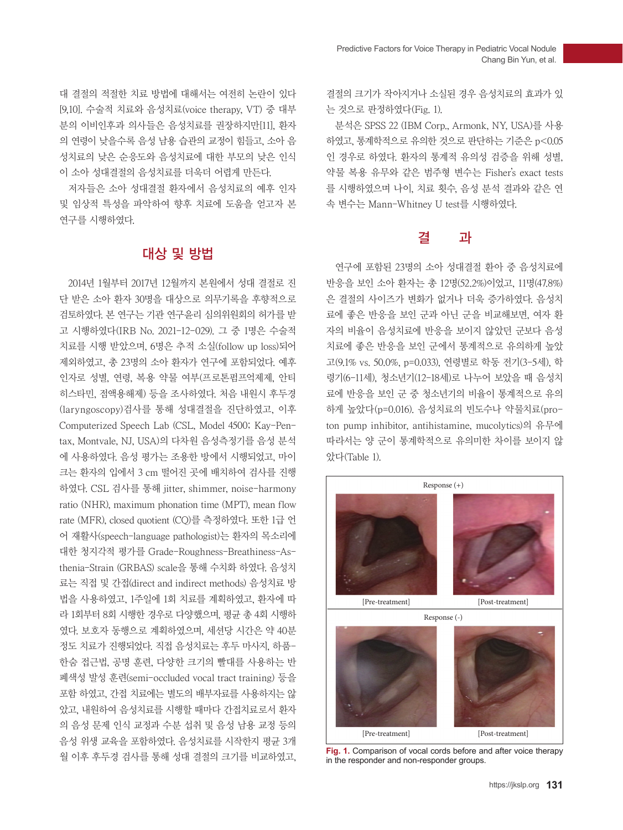대 결절의 적절한 치료 방법에 대해서는 여전히 논란이 있다 [9,10]. 수술적 치료와 음성치료(voice therapy, VT) 중 대부 분의 이비인후과 의사들은 음성치료를 권장하지만[11], 환자 의 연령이 낮을수록 음성 남용 습관의 교정이 힘들고, 소아 음 성치료의 낮은 순응도와 음성치료에 대한 부모의 낮은 인식 이 소아 성대결절의 음성치료를 더욱더 어렵게 만든다.

저자들은 소아 성대결절 환자에서 음성치료의 예후 인자 및 임상적 특성을 파악하여 향후 치료에 도움을 얻고자 본 연구를 시행하였다.

## 대상 및 방법

2014년 1월부터 2017년 12월까지 본원에서 성대 결절로 진 단 받은 소아 환자 30명을 대상으로 의무기록을 후향적으로 검토하였다. 본 연구는 기관 연구윤리 심의위원회의 허가를 받 고 시행하였다(IRB No. 2021-12-029). 그 중 1명은 수술적 치료를 시행 받았으며, 6명은 추적 소실(follow up loss)되어 제외하였고, 총 23명의 소아 환자가 연구에 포함되었다. 예후 인자로 성별, 연령, 복용 약물 여부(프로톤펌프억제제, 안티 히스타민, 점액용해제) 등을 조사하였다. 처음 내원시 후두경 (laryngoscopy)검사를 통해 성대결절을 진단하였고, 이후 Computerized Speech Lab (CSL, Model 4500; Kay-Pentax, Montvale, NJ, USA)의 다차원 음성측정기를 음성 분석 에 사용하였다. 음성 평가는 조용한 방에서 시행되었고, 마이 크는 환자의 입에서 3 cm 떨어진 곳에 배치하여 검사를 진행 하였다. CSL 검사를 통해 jitter, shimmer, noise-harmony ratio (NHR), maximum phonation time (MPT), mean flow rate (MFR), closed quotient (CQ)를 측정하였다. 또한 1급 언 어 재활사(speech-language pathologist)는 환자의 목소리에 대한 청지각적 평가를 Grade-Roughness-Breathiness-Asthenia-Strain (GRBAS) scale을 통해 수치화 하였다. 음성치 료는 직접 및 간접(direct and indirect methods) 음성치료 방 법을 사용하였고, 1주일에 1회 치료를 계획하였고, 환자에 따 라 1회부터 8회 시행한 경우로 다양했으며, 평균 총 4회 시행하 였다. 보호자 동행으로 계획하였으며, 세션당 시간은 약 40분 정도 치료가 진행되었다. 직접 음성치료는 후두 마사지, 하품-한숨 접근법, 공명 훈련, 다양한 크기의 빨대를 사용하는 반 폐색성 발성 훈련(semi-occluded vocal tract training) 등을 포함 하였고, 간접 치료에는 별도의 배부자료를 사용하지는 않 았고, 내원하여 음성치료를 시행할 때마다 간접치료로서 환자 의 음성 문제 인식 교정과 수분 섭취 및 음성 남용 교정 등의 음성 위생 교육을 포함하였다. 음성치료를 시작한지 평균 3개 월 이후 후두경 검사를 통해 성대 결절의 크기를 비교하였고,

결절의 크기가 작아지거나 소실된 경우 음성치료의 효과가 있 는 것으로 판정하였다(Fig. 1).

분석은 SPSS 22 (IBM Corp., Armonk, NY, USA)를 사용 하였고, 통계학적으로 유의한 것으로 판단하는 기준은 p<0.05 인 경우로 하였다. 환자의 통계적 유의성 검증을 위해 성별, 약물 복용 유무와 같은 범주형 변수는 Fisher's exact tests 를 시행하였으며 나이, 치료 횟수, 음성 분석 결과와 같은 연 속 변수는 Mann-Whitney U test를 시행하였다.

## 결 과

연구에 포함된 23명의 소아 성대결절 환아 중 음성치료에 반응을 보인 소아 환자는 총 12명(52.2%)이었고, 11명(47.8%) 은 결절의 사이즈가 변화가 없거나 더욱 증가하였다. 음성치 료에 좋은 반응을 보인 군과 아닌 군을 비교해보면, 여자 환 자의 비율이 음성치료에 반응을 보이지 않았던 군보다 음성 치료에 좋은 반응을 보인 군에서 통계적으로 유의하게 높았 고(9.1% vs. 50.0%, p=0.033), 연령별로 학동 전기(3-5세), 학 령기(6-11세), 청소년기(12-18세)로 나누어 보았을 때 음성치 료에 반응을 보인 군 중 청소년기의 비율이 통계적으로 유의 하게 높았다(p=0.016). 음성치료의 빈도수나 약물치료(proton pump inhibitor, antihistamine, mucolytics)의 유무에 따라서는 양 군이 통계학적으로 유의미한 차이를 보이지 않 았다(Table 1).



**Fig. 1.** Comparison of vocal cords before and after voice therapy in the responder and non-responder groups.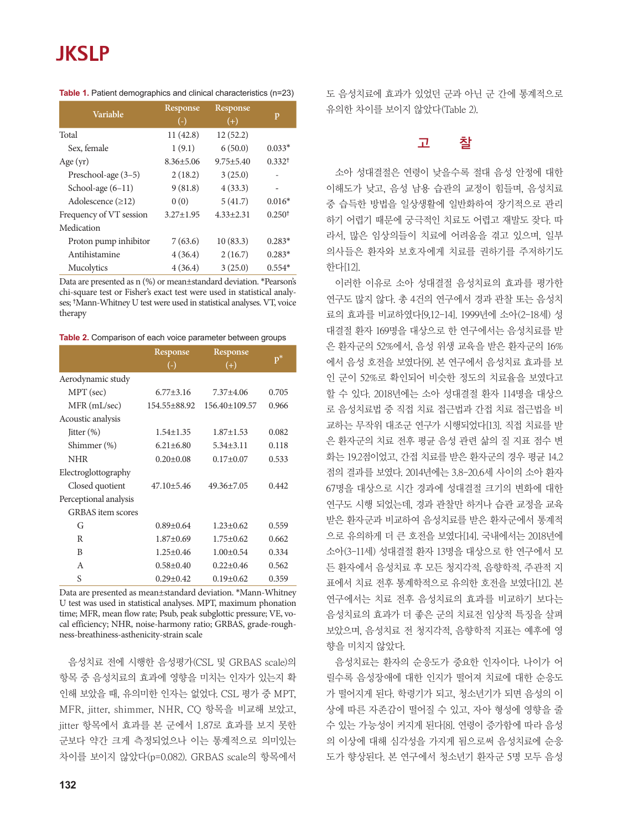## **JKSLP**

| Variable                | Response<br>$(-)$ | Response<br>$^{(+)}$ | p                    |
|-------------------------|-------------------|----------------------|----------------------|
| Total                   | 11(42.8)          | 12(52.2)             |                      |
| Sex, female             | 1(9.1)            | 6(50.0)              | $0.033*$             |
| Age $(yr)$              | $8.36 \pm 5.06$   | $9.75 \pm 5.40$      | $0.332$ <sup>†</sup> |
| Preschool-age (3-5)     | 2(18.2)           | 3(25.0)              |                      |
| School-age $(6-11)$     | 9(81.8)           | 4(33.3)              |                      |
| Adolescence $(\geq 12)$ | 0(0)              | 5(41.7)              | $0.016*$             |
| Frequency of VT session | $3.27 \pm 1.95$   | $4.33 \pm 2.31$      | 0.250 <sup>†</sup>   |
| Medication              |                   |                      |                      |
| Proton pump inhibitor   | 7(63.6)           | 10(83.3)             | $0.283*$             |
| Antihistamine           | 4(36.4)           | 2(16.7)              | $0.283*$             |
| Mucolytics              | 4(36.4)           | 3(25.0)              | $0.554*$             |

**Table 1.** Patient demographics and clinical characteristics (n=23)

Data are presented as n (%) or mean±standard deviation. \*Pearson's chi-square test or Fisher's exact test were used in statistical analyses; †Mann-Whitney U test were used in statistical analyses. VT, voice therapy

**Table 2.** Comparison of each voice parameter between groups

|                          | Response          | <b>Response</b>  |       |
|--------------------------|-------------------|------------------|-------|
|                          | $\left( -\right)$ | $^{(+)}$         | $p^*$ |
| Aerodynamic study        |                   |                  |       |
| MPT (sec)                | $6.77 + 3.16$     | $7.37 + 4.06$    | 0.705 |
| $MFR$ (mL/sec)           | 154.55±88.92      | 156.40±109.57    | 0.966 |
| Acoustic analysis        |                   |                  |       |
| Jitter $(\%)$            | $1.54 \pm 1.35$   | $1.87 \pm 1.53$  | 0.082 |
| Shimmer (%)              | $6.21 \pm 6.80$   | $5.34 \pm 3.11$  | 0.118 |
| <b>NHR</b>               | $0.20 \pm 0.08$   | $0.17 \pm 0.07$  | 0.533 |
| Electroglottography      |                   |                  |       |
| Closed quotient          | $47.10 \pm 5.46$  | $49.36 \pm 7.05$ | 0.442 |
| Perceptional analysis    |                   |                  |       |
| <b>GRBAS</b> item scores |                   |                  |       |
| G                        | $0.89 \pm 0.64$   | $1.23 \pm 0.62$  | 0.559 |
| R                        | $1.87 \pm 0.69$   | $1.75 \pm 0.62$  | 0.662 |
| B                        | $1.25 \pm 0.46$   | $1.00 \pm 0.54$  | 0.334 |
| A                        | $0.58 + 0.40$     | $0.22 \pm 0.46$  | 0.562 |
| S                        | $0.29 \pm 0.42$   | $0.19 \pm 0.62$  | 0.359 |
|                          |                   |                  |       |

Data are presented as mean±standard deviation. \*Mann-Whitney U test was used in statistical analyses. MPT, maximum phonation time; MFR, mean flow rate; Psub, peak subglottic pressure; VE, vocal efficiency; NHR, noise-harmony ratio; GRBAS, grade-roughness-breathiness-asthenicity-strain scale

음성치료 전에 시행한 음성평가(CSL 및 GRBAS scale)의 항목 중 음성치료의 효과에 영향을 미치는 인자가 있는지 확 인해 보았을 때, 유의미한 인자는 없었다. CSL 평가 중 MPT, MFR, jitter, shimmer, NHR, CQ 항목을 비교해 보았고, jitter 항목에서 효과를 본 군에서 1.87로 효과를 보지 못한 군보다 약간 크게 측정되었으나 이는 통계적으로 의미있는 차이를 보이지 않았다(p=0.082). GRBAS scale의 항목에서 도 음성치료에 효과가 있었던 군과 아닌 군 간에 통계적으로 유의한 차이를 보이지 않았다(Table 2).

## 고 찰

소아 성대결절은 연령이 낮을수록 절대 음성 안정에 대한 이해도가 낮고, 음성 남용 습관의 교정이 힘들며, 음성치료 중 습득한 방법을 일상생활에 일반화하여 장기적으로 관리 하기 어렵기 때문에 궁극적인 치료도 어렵고 재발도 잦다. 따 라서, 많은 임상의들이 치료에 어려움을 겪고 있으며, 일부 의사들은 환자와 보호자에게 치료를 권하기를 주저하기도 한다[12].

이러한 이유로 소아 성대결절 음성치료의 효과를 평가한 연구도 많지 않다. 총 4건의 연구에서 경과 관찰 또는 음성치 료의 효과를 비교하였다[9,12-14]. 1999년에 소아(2-18세) 성 대결절 환자 169명을 대상으로 한 연구에서는 음성치료를 받 은 환자군의 52%에서, 음성 위생 교육을 받은 환자군의 16% 에서 음성 호전을 보였다[9]. 본 연구에서 음성치료 효과를 보 인 군이 52%로 확인되어 비슷한 정도의 치료율을 보였다고 할 수 있다. 2018년에는 소아 성대결절 환자 114명을 대상으 로 음성치료법 중 직접 치료 접근법과 간접 치료 접근법을 비 교하는 무작위 대조군 연구가 시행되었다[13]. 직접 치료를 받 은 환자군의 치료 전후 평균 음성 관련 삶의 질 지표 점수 변 화는 19.2점이었고, 간접 치료를 받은 환자군의 경우 평균 14.2 점의 결과를 보였다. 2014년에는 3.8-20.6세 사이의 소아 환자 67명을 대상으로 시간 경과에 성대결절 크기의 변화에 대한 연구도 시행 되었는데, 경과 관찰만 하거나 습관 교정을 교육 받은 환자군과 비교하여 음성치료를 받은 환자군에서 통계적 으로 유의하게 더 큰 호전을 보였다[14]. 국내에서는 2018년에 소아(3-11세) 성대결절 환자 13명을 대상으로 한 연구에서 모 든 환자에서 음성치료 후 모든 청지각적, 음향학적, 주관적 지 표에서 치료 전후 통계학적으로 유의한 호전을 보였다[12]. 본 연구에서는 치료 전후 음성치료의 효과를 비교하기 보다는 음성치료의 효과가 더 좋은 군의 치료전 임상적 특징을 살펴 보았으며, 음성치료 전 청지각적, 음향학적 지표는 예후에 영 향을 미치지 않았다.

음성치료는 환자의 순응도가 중요한 인자이다. 나이가 어 릴수록 음성장애에 대한 인지가 떨어져 치료에 대한 순응도 가 떨어지게 된다. 학령기가 되고, 청소년기가 되면 음성의 이 상에 따른 자존감이 떨어질 수 있고, 자아 형성에 영향을 줄 수 있는 가능성이 커지게 된다[8]. 연령이 증가함에 따라 음성 의 이상에 대해 심각성을 가지게 됨으로써 음성치료에 순응 도가 향상된다. 본 연구에서 청소년기 환자군 5명 모두 음성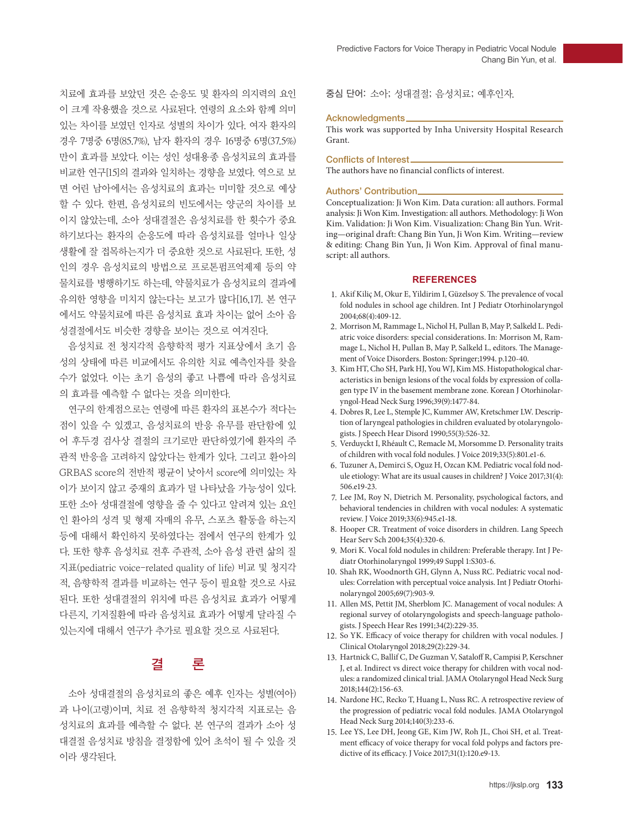치료에 효과를 보았던 것은 순응도 및 환자의 의지력의 요인 이 크게 작용했을 것으로 사료된다. 연령의 요소와 함께 의미 있는 차이를 보였던 인자로 성별의 차이가 있다. 여자 환자의 경우 7명중 6명(85.7%), 남자 환자의 경우 16명중 6명(37.5%) 만이 효과를 보았다. 이는 성인 성대용종 음성치료의 효과를 비교한 연구[15]의 결과와 일치하는 경향을 보였다. 역으로 보 면 어린 남아에서는 음성치료의 효과는 미미할 것으로 예상 할 수 있다. 한편, 음성치료의 빈도에서는 양군의 차이를 보 이지 않았는데, 소아 성대결절은 음성치료를 한 횟수가 중요 하기보다는 환자의 순응도에 따라 음성치료를 얼마나 일상 생활에 잘 접목하는지가 더 중요한 것으로 사료된다. 또한, 성 인의 경우 음성치료의 방법으로 프로톤펌프억제제 등의 약 물치료를 병행하기도 하는데, 약물치료가 음성치료의 결과에 유의한 영향을 미치지 않는다는 보고가 많다[16,17]. 본 연구 에서도 약물치료에 따른 음성치료 효과 차이는 없어 소아 음 성결절에서도 비슷한 경향을 보이는 것으로 여겨진다.

음성치료 전 청지각적 음향학적 평가 지표상에서 초기 음 성의 상태에 따른 비교에서도 유의한 치료 예측인자를 찾을 수가 없었다. 이는 초기 음성의 좋고 나쁨에 따라 음성치료 의 효과를 예측할 수 없다는 것을 의미한다.

연구의 한계점으로는 연령에 따른 환자의 표본수가 적다는 점이 있을 수 있겠고, 음성치료의 반응 유무를 판단함에 있 어 후두경 검사상 결절의 크기로만 판단하였기에 환자의 주 관적 반응을 고려하지 않았다는 한계가 있다. 그리고 환아의 GRBAS score의 전반적 평균이 낮아서 score에 의미있는 차 이가 보이지 않고 중재의 효과가 덜 나타났을 가능성이 있다. 또한 소아 성대결절에 영향을 줄 수 있다고 알려져 있는 요인 인 환아의 성격 및 형제 자매의 유무, 스포츠 활동을 하는지 등에 대해서 확인하지 못하였다는 점에서 연구의 한계가 있 다. 또한 향후 음성치료 전후 주관적, 소아 음성 관련 삶의 질 지표(pediatric voice-related quality of life) 비교 및 청지각 적, 음향학적 결과를 비교하는 연구 등이 필요할 것으로 사료 된다. 또한 성대결절의 위치에 따른 음성치료 효과가 어떻게 다른지, 기저질환에 따라 음성치료 효과가 어떻게 달라질 수 있는지에 대해서 연구가 추가로 필요할 것으로 사료된다.

## 결 론

소아 성대결절의 음성치료의 좋은 예후 인자는 성별(여아) 과 나이(고령)이며, 치료 전 음향학적 청지각적 지표로는 음 성치료의 효과를 예측할 수 없다. 본 연구의 결과가 소아 성 대결절 음성치료 방침을 결정함에 있어 초석이 될 수 있을 것 이라 생각된다.

중심 단어: 소아; 성대결절; 음성치료; 예후인자.

#### Acknowledgments

This work was supported by Inha University Hospital Research Grant.

#### Conflicts of Interest

The authors have no financial conflicts of interest.

#### Authors' Contribution

Conceptualization: Ji Won Kim. Data curation: all authors. Formal analysis: Ji Won Kim. Investigation: all authors. Methodology: Ji Won Kim. Validation: Ji Won Kim. Visualization: Chang Bin Yun. Writing—original draft: Chang Bin Yun, Ji Won Kim. Writing—review & editing: Chang Bin Yun, Ji Won Kim. Approval of final manuscript: all authors.

#### **REFERENCES**

- 1. Akif Kiliç M, Okur E, Yildirim I, Güzelsoy S. The prevalence of vocal fold nodules in school age children. Int J Pediatr Otorhinolaryngol 2004;68(4):409-12.
- 2. Morrison M, Rammage L, Nichol H, Pullan B, May P, Salkeld L. Pediatric voice disorders: special considerations. In: Morrison M, Rammage L, Nichol H, Pullan B, May P, Salkeld L, editors. The Management of Voice Disorders. Boston: Springer;1994. p.120-40.
- 3. Kim HT, Cho SH, Park HJ, You WJ, Kim MS. Histopathological characteristics in benign lesions of the vocal folds by expression of collagen type IV in the basement membrane zone. Korean J Otorhinolaryngol-Head Neck Surg 1996;39(9):1477-84.
- 4. Dobres R, Lee L, Stemple JC, Kummer AW, Kretschmer LW. Description of laryngeal pathologies in children evaluated by otolaryngologists. J Speech Hear Disord 1990;55(3):526-32.
- 5. Verduyckt I, Rhéault C, Remacle M, Morsomme D. Personality traits of children with vocal fold nodules. J Voice 2019;33(5):801.e1-6.
- 6. Tuzuner A, Demirci S, Oguz H, Ozcan KM. Pediatric vocal fold nodule etiology: What are its usual causes in children? J Voice 2017;31(4): 506.e19-23.
- 7. Lee JM, Roy N, Dietrich M. Personality, psychological factors, and behavioral tendencies in children with vocal nodules: A systematic review. J Voice 2019;33(6):945.e1-18.
- 8. Hooper CR. Treatment of voice disorders in children. Lang Speech Hear Serv Sch 2004;35(4):320-6.
- 9. Mori K. Vocal fold nodules in children: Preferable therapy. Int J Pediatr Otorhinolaryngol 1999;49 Suppl 1:S303-6.
- 10. Shah RK, Woodnorth GH, Glynn A, Nuss RC. Pediatric vocal nodules: Correlation with perceptual voice analysis. Int J Pediatr Otorhinolaryngol 2005;69(7):903-9.
- 11. Allen MS, Pettit JM, Sherblom JC. Management of vocal nodules: A regional survey of otolaryngologists and speech-language pathologists. J Speech Hear Res 1991;34(2):229-35.
- 12. So YK. Efficacy of voice therapy for children with vocal nodules. J Clinical Otolaryngol 2018;29(2):229-34.
- 13. Hartnick C, Ballif C, De Guzman V, Sataloff R, Campisi P, Kerschner J, et al. Indirect vs direct voice therapy for children with vocal nodules: a randomized clinical trial. JAMA Otolaryngol Head Neck Surg 2018;144(2):156-63.
- 14. Nardone HC, Recko T, Huang L, Nuss RC. A retrospective review of the progression of pediatric vocal fold nodules. JAMA Otolaryngol Head Neck Surg 2014;140(3):233-6.
- 15. Lee YS, Lee DH, Jeong GE, Kim JW, Roh JL, Choi SH, et al. Treatment efficacy of voice therapy for vocal fold polyps and factors predictive of its efficacy. J Voice 2017;31(1):120.e9-13.